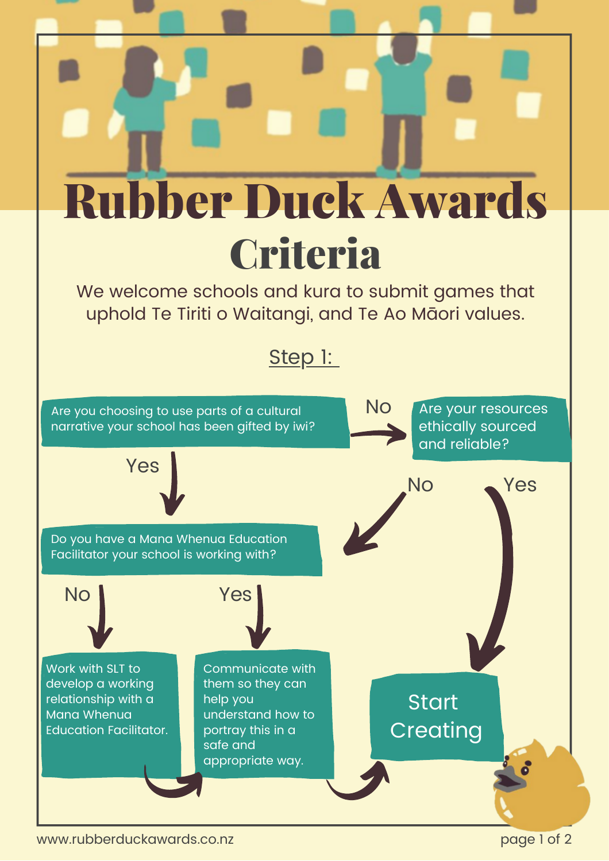

www.rubberduckawards.co.nz page 1 of 2